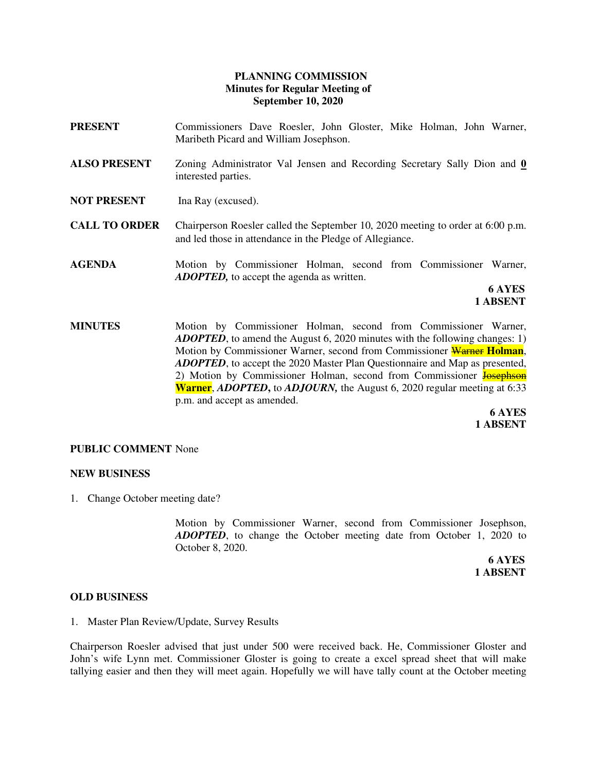# **PLANNING COMMISSION Minutes for Regular Meeting of September 10, 2020**

- **PRESENT** Commissioners Dave Roesler, John Gloster, Mike Holman, John Warner, Maribeth Picard and William Josephson.
- **ALSO PRESENT** Zoning Administrator Val Jensen and Recording Secretary Sally Dion and **0**  interested parties.
- **NOT PRESENT** Ina Ray (excused).
- **CALL TO ORDER** Chairperson Roesler called the September 10, 2020 meeting to order at 6:00 p.m. and led those in attendance in the Pledge of Allegiance.
- **AGENDA** Motion by Commissioner Holman, second from Commissioner Warner, *ADOPTED,* to accept the agenda as written.

 **6 AYES 1 ABSENT** 

**MINUTES** Motion by Commissioner Holman, second from Commissioner Warner, *ADOPTED*, to amend the August 6, 2020 minutes with the following changes: 1) Motion by Commissioner Warner, second from Commissioner Warner **Holman**, *ADOPTED*, to accept the 2020 Master Plan Questionnaire and Map as presented, 2) Motion by Commissioner Holman, second from Commissioner Josephson **Warner**, *ADOPTED***,** to *ADJOURN,* the August 6, 2020 regular meeting at 6:33 p.m. and accept as amended.

 **6 AYES 1 ABSENT** 

### **PUBLIC COMMENT** None

### **NEW BUSINESS**

1. Change October meeting date?

Motion by Commissioner Warner, second from Commissioner Josephson, *ADOPTED*, to change the October meeting date from October 1, 2020 to October 8, 2020.

 **6 AYES 1 ABSENT** 

#### **OLD BUSINESS**

1. Master Plan Review/Update, Survey Results

Chairperson Roesler advised that just under 500 were received back. He, Commissioner Gloster and John's wife Lynn met. Commissioner Gloster is going to create a excel spread sheet that will make tallying easier and then they will meet again. Hopefully we will have tally count at the October meeting